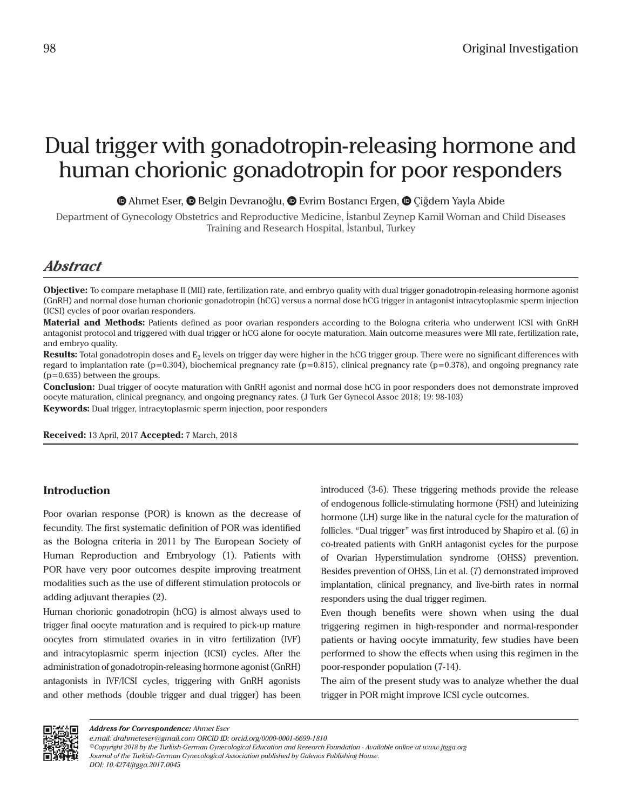# Dual trigger with gonadotropin-releasing hormone and human chorionic gonadotropin for poor responders

 $\bullet$ **Ahmet Eser,**  $\bullet$  **Belgin Devranoğlu,**  $\bullet$  **Evrim Bostancı Ergen,**  $\bullet$  **Çiğdem Yayla Abide** 

Department of Gynecology Obstetrics and Reproductive Medicine, İstanbul Zeynep Kamil Woman and Child Diseases Training and Research Hospital, İstanbul, Turkey

# *Abstract*

**Objective:** To compare metaphase II (MII) rate, fertilization rate, and embryo quality with dual trigger gonadotropin-releasing hormone agonist (GnRH) and normal dose human chorionic gonadotropin (hCG) versus a normal dose hCG trigger in antagonist intracytoplasmic sperm injection (ICSI) cycles of poor ovarian responders.

**Material and Methods:** Patients defined as poor ovarian responders according to the Bologna criteria who underwent ICSI with GnRH antagonist protocol and triggered with dual trigger or hCG alone for oocyte maturation. Main outcome measures were MII rate, fertilization rate, and embryo quality.

**Results:** Total gonadotropin doses and E<sub>2</sub> levels on trigger day were higher in the hCG trigger group. There were no significant differences with regard to implantation rate ( $p=0.304$ ), biochemical pregnancy rate ( $p=0.815$ ), clinical pregnancy rate ( $p=0.378$ ), and ongoing pregnancy rate (p=0.635) between the groups.

**Conclusion:** Dual trigger of oocyte maturation with GnRH agonist and normal dose hCG in poor responders does not demonstrate improved oocyte maturation, clinical pregnancy, and ongoing pregnancy rates. (J Turk Ger Gynecol Assoc 2018; 19: 98-103)

**Keywords:** Dual trigger, intracytoplasmic sperm injection, poor responders

**Received:** 13 April, 2017 **Accepted:** 7 March, 2018

# **Introduction**

Poor ovarian response (POR) is known as the decrease of fecundity. The first systematic definition of POR was identified as the Bologna criteria in 2011 by The European Society of Human Reproduction and Embryology (1). Patients with POR have very poor outcomes despite improving treatment modalities such as the use of different stimulation protocols or adding adjuvant therapies (2).

Human chorionic gonadotropin (hCG) is almost always used to trigger final oocyte maturation and is required to pick-up mature oocytes from stimulated ovaries in in vitro fertilization (IVF) and intracytoplasmic sperm injection (ICSI) cycles. After the administration of gonadotropin-releasing hormone agonist (GnRH) antagonists in IVF/ICSI cycles, triggering with GnRH agonists and other methods (double trigger and dual trigger) has been

introduced (3-6). These triggering methods provide the release of endogenous follicle-stimulating hormone (FSH) and luteinizing hormone (LH) surge like in the natural cycle for the maturation of follicles. "Dual trigger" was first introduced by Shapiro et al. (6) in co-treated patients with GnRH antagonist cycles for the purpose of Ovarian Hyperstimulation syndrome (OHSS) prevention. Besides prevention of OHSS, Lin et al. (7) demonstrated improved implantation, clinical pregnancy, and live-birth rates in normal responders using the dual trigger regimen.

Even though benefits were shown when using the dual triggering regimen in high-responder and normal-responder patients or having oocyte immaturity, few studies have been performed to show the effects when using this regimen in the poor-responder population (7-14).

The aim of the present study was to analyze whether the dual trigger in POR might improve ICSI cycle outcomes.



*Address for Correspondence: Ahmet Eser*

*e.mail: drahmeteser@gmail.com ORCID ID: orcid.org/0000-0001-6699-1810*

*<sup>©</sup>Copyright 2018 by the Turkish-German Gynecological Education and Research Foundation - Available online at www.jtgga.org Journal of the Turkish-German Gynecological Association published by Galenos Publishing House. DOI: 10.4274/jtgga.2017.0045*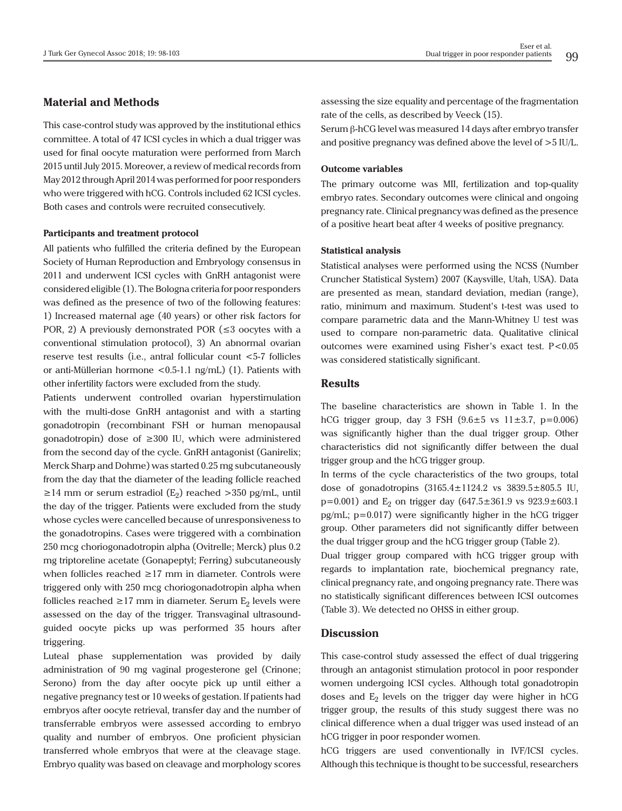### **Material and Methods**

This case-control study was approved by the institutional ethics committee. A total of 47 ICSI cycles in which a dual trigger was used for final oocyte maturation were performed from March 2015 until July 2015. Moreover, a review of medical records from May 2012 through April 2014 was performed for poor responders who were triggered with hCG. Controls included 62 ICSI cycles. Both cases and controls were recruited consecutively.

#### **Participants and treatment protocol**

All patients who fulfilled the criteria defined by the European Society of Human Reproduction and Embryology consensus in 2011 and underwent ICSI cycles with GnRH antagonist were considered eligible (1). The Bologna criteria for poor responders was defined as the presence of two of the following features: 1) Increased maternal age (40 years) or other risk factors for POR, 2) A previously demonstrated POR ( $\leq$ 3 oocytes with a conventional stimulation protocol), 3) An abnormal ovarian reserve test results (i.e., antral follicular count <5-7 follicles or anti-Müllerian hormone <0.5-1.1 ng/mL) (1). Patients with other infertility factors were excluded from the study.

Patients underwent controlled ovarian hyperstimulation with the multi-dose GnRH antagonist and with a starting gonadotropin (recombinant FSH or human menopausal gonadotropin) dose of ≥300 IU, which were administered from the second day of the cycle. GnRH antagonist (Ganirelix; Merck Sharp and Dohme) was started 0.25 mg subcutaneously from the day that the diameter of the leading follicle reached ≥14 mm or serum estradiol (E<sub>2</sub>) reached >350 pg/mL, until the day of the trigger. Patients were excluded from the study whose cycles were cancelled because of unresponsiveness to the gonadotropins. Cases were triggered with a combination 250 mcg choriogonadotropin alpha (Ovitrelle; Merck) plus 0.2 mg triptoreline acetate (Gonapeptyl; Ferring) subcutaneously when follicles reached ≥17 mm in diameter. Controls were triggered only with 250 mcg choriogonadotropin alpha when follicles reached ≥17 mm in diameter. Serum  $E<sub>2</sub>$  levels were assessed on the day of the trigger. Transvaginal ultrasoundguided oocyte picks up was performed 35 hours after triggering.

Luteal phase supplementation was provided by daily administration of 90 mg vaginal progesterone gel (Crinone; Serono) from the day after oocyte pick up until either a negative pregnancy test or 10 weeks of gestation. If patients had embryos after oocyte retrieval, transfer day and the number of transferrable embryos were assessed according to embryo quality and number of embryos. One proficient physician transferred whole embryos that were at the cleavage stage. Embryo quality was based on cleavage and morphology scores

assessing the size equality and percentage of the fragmentation rate of the cells, as described by Veeck (15).

Serum β-hCG level was measured 14 days after embryo transfer and positive pregnancy was defined above the level of >5 IU/L.

#### **Outcome variables**

The primary outcome was MII, fertilization and top-quality embryo rates. Secondary outcomes were clinical and ongoing pregnancy rate. Clinical pregnancy was defined as the presence of a positive heart beat after 4 weeks of positive pregnancy.

#### **Statistical analysis**

Statistical analyses were performed using the NCSS (Number Cruncher Statistical System) 2007 (Kaysville, Utah, USA). Data are presented as mean, standard deviation, median (range), ratio, minimum and maximum. Student's t-test was used to compare parametric data and the Mann-Whitney U test was used to compare non-parametric data. Qualitative clinical outcomes were examined using Fisher's exact test. P<0.05 was considered statistically significant.

#### **Results**

The baseline characteristics are shown in Table 1. In the hCG trigger group, day 3 FSH  $(9.6 \pm 5 \text{ vs } 11 \pm 3.7, \text{ p} = 0.006)$ was significantly higher than the dual trigger group. Other characteristics did not significantly differ between the dual trigger group and the hCG trigger group.

In terms of the cycle characteristics of the two groups, total dose of gonadotropins  $(3165.4 \pm 1124.2 \text{ vs } 3839.5 \pm 805.5 \text{ IU},$  $p=0.001$ ) and  $E_2$  on trigger day  $(647.5 \pm 361.9 \text{ vs } 923.9 \pm 603.1 \text{ s})$ pg/mL; p=0.017) were significantly higher in the hCG trigger group. Other parameters did not significantly differ between the dual trigger group and the hCG trigger group (Table 2).

Dual trigger group compared with hCG trigger group with regards to implantation rate, biochemical pregnancy rate, clinical pregnancy rate, and ongoing pregnancy rate. There was no statistically significant differences between ICSI outcomes (Table 3). We detected no OHSS in either group.

# **Discussion**

This case-control study assessed the effect of dual triggering through an antagonist stimulation protocol in poor responder women undergoing ICSI cycles. Although total gonadotropin doses and  $E_2$  levels on the trigger day were higher in hCG trigger group, the results of this study suggest there was no clinical difference when a dual trigger was used instead of an hCG trigger in poor responder women.

hCG triggers are used conventionally in IVF/ICSI cycles. Although this technique is thought to be successful, researchers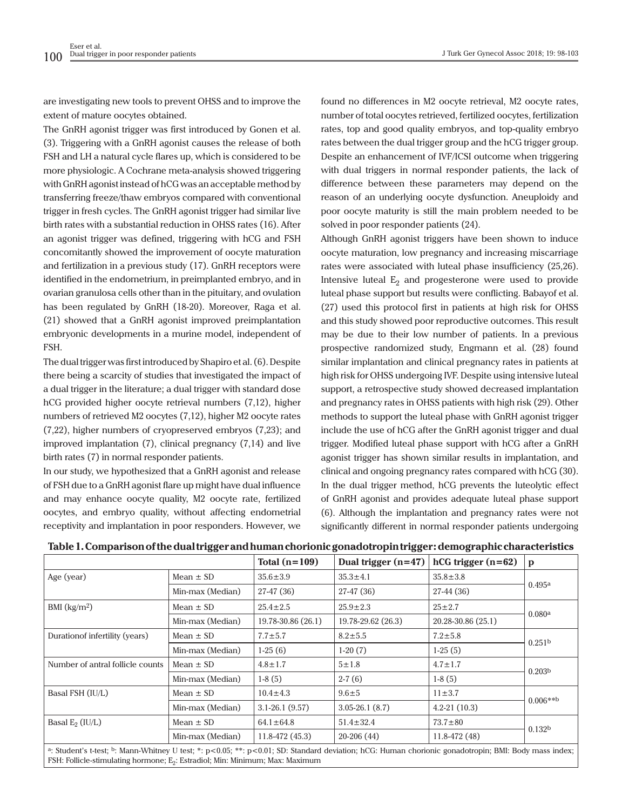J Turk Ger Gynecol Assoc 2018; 19: 98-103

are investigating new tools to prevent OHSS and to improve the extent of mature oocytes obtained.

The GnRH agonist trigger was first introduced by Gonen et al. (3). Triggering with a GnRH agonist causes the release of both FSH and LH a natural cycle flares up, which is considered to be more physiologic. A Cochrane meta-analysis showed triggering with GnRH agonist instead of hCG was an acceptable method by transferring freeze/thaw embryos compared with conventional trigger in fresh cycles. The GnRH agonist trigger had similar live birth rates with a substantial reduction in OHSS rates (16). After an agonist trigger was defined, triggering with hCG and FSH concomitantly showed the improvement of oocyte maturation and fertilization in a previous study (17). GnRH receptors were identified in the endometrium, in preimplanted embryo, and in ovarian granulosa cells other than in the pituitary, and ovulation has been regulated by GnRH (18-20). Moreover, Raga et al. (21) showed that a GnRH agonist improved preimplantation embryonic developments in a murine model, independent of FSH.

The dual trigger was first introduced by Shapiro et al. (6). Despite there being a scarcity of studies that investigated the impact of a dual trigger in the literature; a dual trigger with standard dose hCG provided higher oocyte retrieval numbers (7,12), higher numbers of retrieved M2 oocytes (7,12), higher M2 oocyte rates (7,22), higher numbers of cryopreserved embryos (7,23); and improved implantation (7), clinical pregnancy (7,14) and live birth rates (7) in normal responder patients.

In our study, we hypothesized that a GnRH agonist and release of FSH due to a GnRH agonist flare up might have dual influence and may enhance oocyte quality, M2 oocyte rate, fertilized oocytes, and embryo quality, without affecting endometrial receptivity and implantation in poor responders. However, we

found no differences in M2 oocyte retrieval, M2 oocyte rates, number of total oocytes retrieved, fertilized oocytes, fertilization rates, top and good quality embryos, and top-quality embryo rates between the dual trigger group and the hCG trigger group. Despite an enhancement of IVF/ICSI outcome when triggering with dual triggers in normal responder patients, the lack of difference between these parameters may depend on the reason of an underlying oocyte dysfunction. Aneuploidy and poor oocyte maturity is still the main problem needed to be solved in poor responder patients (24).

Although GnRH agonist triggers have been shown to induce oocyte maturation, low pregnancy and increasing miscarriage rates were associated with luteal phase insufficiency (25,26). Intensive luteal  $E_2$  and progesterone were used to provide luteal phase support but results were conflicting. Babayof et al. (27) used this protocol first in patients at high risk for OHSS and this study showed poor reproductive outcomes. This result may be due to their low number of patients. In a previous prospective randomized study, Engmann et al. (28) found similar implantation and clinical pregnancy rates in patients at high risk for OHSS undergoing IVF. Despite using intensive luteal support, a retrospective study showed decreased implantation and pregnancy rates in OHSS patients with high risk (29). Other methods to support the luteal phase with GnRH agonist trigger include the use of hCG after the GnRH agonist trigger and dual trigger. Modified luteal phase support with hCG after a GnRH agonist trigger has shown similar results in implantation, and clinical and ongoing pregnancy rates compared with hCG (30). In the dual trigger method, hCG prevents the luteolytic effect of GnRH agonist and provides adequate luteal phase support (6). Although the implantation and pregnancy rates were not significantly different in normal responder patients undergoing

|                                                                                                                                                                                                                                                                           |                  | Total $(n=109)$    | Dual trigger $(n=47)$ | $hCG trigger (n=62)$ | $\mathbf{p}$       |  |  |
|---------------------------------------------------------------------------------------------------------------------------------------------------------------------------------------------------------------------------------------------------------------------------|------------------|--------------------|-----------------------|----------------------|--------------------|--|--|
| Age (year)                                                                                                                                                                                                                                                                | Mean $\pm$ SD    | $35.6 \pm 3.9$     | $35.3 \pm 4.1$        | $35.8 \pm 3.8$       |                    |  |  |
|                                                                                                                                                                                                                                                                           | Min-max (Median) | 27-47 (36)         | 27-47 (36)            | 27-44 (36)           | 0.495a             |  |  |
| BMI $(kg/m2)$                                                                                                                                                                                                                                                             | Mean $\pm$ SD    | $25.4 \pm 2.5$     | $25.9 \pm 2.3$        | $25 + 2.7$           | 0.080a             |  |  |
|                                                                                                                                                                                                                                                                           | Min-max (Median) | 19.78-30.86 (26.1) | 19.78-29.62 (26.3)    | 20.28-30.86 (25.1)   |                    |  |  |
| Duration of infertility (years)                                                                                                                                                                                                                                           | Mean $\pm$ SD    | $7.7 \pm 5.7$      | $8.2 \pm 5.5$         | $7.2 \pm 5.8$        | 0.251 <sup>b</sup> |  |  |
|                                                                                                                                                                                                                                                                           | Min-max (Median) | $1-25(6)$          | $1-20(7)$             | $1-25(5)$            |                    |  |  |
| Number of antral follicle counts                                                                                                                                                                                                                                          | Mean $\pm$ SD    | $4.8 \pm 1.7$      | $5 + 1.8$             | $4.7 \pm 1.7$        | 0.203 <sup>b</sup> |  |  |
|                                                                                                                                                                                                                                                                           | Min-max (Median) | $1-8(5)$           | $2-7(6)$              | $1-8(5)$             |                    |  |  |
| Basal FSH (IU/L)                                                                                                                                                                                                                                                          | Mean $\pm$ SD    | $10.4 \pm 4.3$     | $9.6 \pm 5$           | $11 \pm 3.7$         | $0.006***$         |  |  |
|                                                                                                                                                                                                                                                                           | Min-max (Median) | $3.1 - 26.1(9.57)$ | $3.05 - 26.1(8.7)$    | $4.2 - 21(10.3)$     |                    |  |  |
| Basal $E_2$ (IU/L)                                                                                                                                                                                                                                                        | Mean $\pm$ SD    | $64.1 \pm 64.8$    | $51.4 \pm 32.4$       | $73.7 \pm 80$        | 0.132 <sup>b</sup> |  |  |
|                                                                                                                                                                                                                                                                           | Min-max (Median) | $11.8 - 472(45.3)$ | 20-206 (44)           | $11.8 - 472(48)$     |                    |  |  |
| <sup>a</sup> : Student's t-test; <sup>b</sup> : Mann-Whitney U test; *: p<0.05; **: p<0.01; SD: Standard deviation; hCG: Human chorionic gonadotropin; BMI: Body mass index;<br>FSH: Follicle-stimulating hormone; E <sub>2</sub> : Estradiol; Min: Minimum; Max: Maximum |                  |                    |                       |                      |                    |  |  |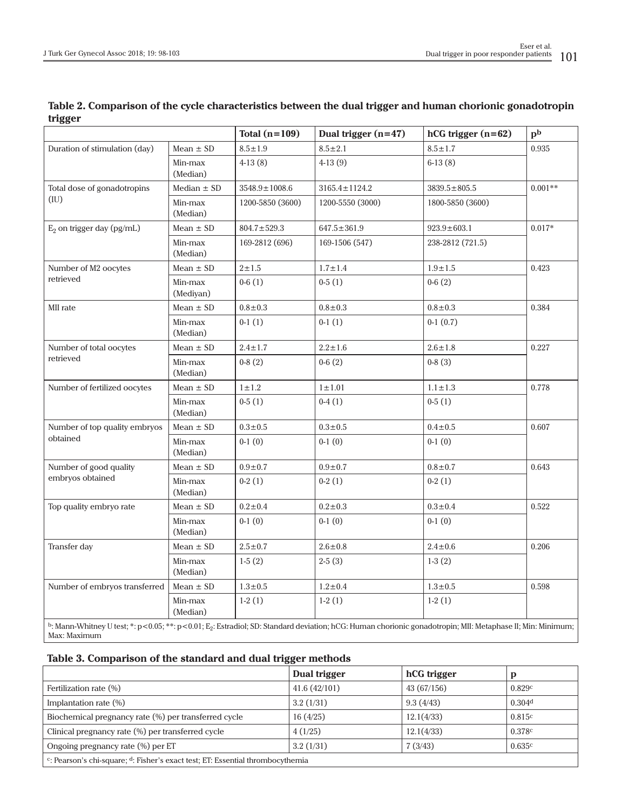|                                                                                                                                                                                        |                      | Total $(n=109)$     | Dual trigger (n=47) | $hCG trigger (n=62)$ | $\mathbf{p}^{\mathbf{b}}$ |  |  |
|----------------------------------------------------------------------------------------------------------------------------------------------------------------------------------------|----------------------|---------------------|---------------------|----------------------|---------------------------|--|--|
| Duration of stimulation (day)                                                                                                                                                          | Mean $\pm$ SD        | $8.5 \pm 1.9$       | $8.5 \pm 2.1$       | $8.5 \pm 1.7$        | 0.935                     |  |  |
|                                                                                                                                                                                        | Min-max<br>(Median)  | $4-13(8)$           | $4-13(9)$           | $6-13(8)$            |                           |  |  |
| Total dose of gonadotropins<br>(IU)                                                                                                                                                    | Median $\pm$ SD      | $3548.9 \pm 1008.6$ | $3165.4 \pm 1124.2$ | $3839.5 \pm 805.5$   | $0.001**$                 |  |  |
|                                                                                                                                                                                        | Min-max<br>(Median)  | 1200-5850 (3600)    | 1200-5550 (3000)    | 1800-5850 (3600)     |                           |  |  |
| $E_2$ on trigger day (pg/mL)                                                                                                                                                           | Mean $\pm$ SD        | $804.7 \pm 529.3$   | $647.5 \pm 361.9$   | $923.9 \pm 603.1$    | $0.017*$                  |  |  |
|                                                                                                                                                                                        | Min-max<br>(Median)  | 169-2812 (696)      | 169-1506 (547)      | 238-2812 (721.5)     |                           |  |  |
| Number of M2 oocytes<br>retrieved                                                                                                                                                      | Mean $\pm$ SD        | $2 + 1.5$           | $1.7 \pm 1.4$       | $1.9 + 1.5$          | 0.423                     |  |  |
|                                                                                                                                                                                        | Min-max<br>(Mediyan) | $0-6(1)$            | $0-5(1)$            | $0-6(2)$             |                           |  |  |
| MII rate                                                                                                                                                                               | Mean $\pm$ SD        | $0.8 + 0.3$         | $0.8 + 0.3$         | $0.8 + 0.3$          | 0.384                     |  |  |
|                                                                                                                                                                                        | Min-max<br>(Median)  | $0-1(1)$            | $0-1(1)$            | $0-1(0.7)$           |                           |  |  |
| Number of total oocytes                                                                                                                                                                | Mean $\pm$ SD        | $2.4 \pm 1.7$       | $2.2 \pm 1.6$       | $2.6 \pm 1.8$        | 0.227                     |  |  |
| retrieved                                                                                                                                                                              | Min-max<br>(Median)  | $0-8(2)$            | $0-6(2)$            | $0-8(3)$             |                           |  |  |
| Number of fertilized oocytes                                                                                                                                                           | Mean $\pm$ SD        | $1\pm1.2$           | $1 \pm 1.01$        | $1.1 \pm 1.3$        | 0.778                     |  |  |
|                                                                                                                                                                                        | Min-max<br>(Median)  | $0-5(1)$            | $0-4(1)$            | $0-5(1)$             |                           |  |  |
| Number of top quality embryos<br>obtained                                                                                                                                              | Mean $\pm$ SD        | $0.3 + 0.5$         | $0.3 + 0.5$         | $0.4 + 0.5$          | 0.607                     |  |  |
|                                                                                                                                                                                        | Min-max<br>(Median)  | $0-1(0)$            | $0-1(0)$            | $0-1(0)$             |                           |  |  |
| Number of good quality<br>embryos obtained                                                                                                                                             | Mean $\pm$ SD        | $0.9 + 0.7$         | $0.9 + 0.7$         | $0.8 + 0.7$          | 0.643                     |  |  |
|                                                                                                                                                                                        | Min-max<br>(Median)  | $0-2(1)$            | $0-2(1)$            | $0-2(1)$             |                           |  |  |
| Top quality embryo rate                                                                                                                                                                | Mean $\pm$ SD        | $0.2 + 0.4$         | $0.2 \pm 0.3$       | $0.3 + 0.4$          | 0.522                     |  |  |
|                                                                                                                                                                                        | Min-max<br>(Median)  | $0-1(0)$            | $0-1(0)$            | $0-1(0)$             |                           |  |  |
| Transfer day                                                                                                                                                                           | Mean $\pm$ SD        | $2.5 \pm 0.7$       | $2.6 \pm 0.8$       | $2.4 \pm 0.6$        | 0.206                     |  |  |
|                                                                                                                                                                                        | Min-max<br>(Median)  | $1-5(2)$            | $2-5(3)$            | $1-3(2)$             |                           |  |  |
| Number of embryos transferred                                                                                                                                                          | Mean $\pm$ SD        | $1.3 \pm 0.5$       | $1.2 \pm 0.4$       | $1.3 \pm 0.5$        | 0.598                     |  |  |
|                                                                                                                                                                                        | Min-max<br>(Median)  | $1-2(1)$            | $1-2(1)$            | $1-2(1)$             |                           |  |  |
| b: Mann-Whitney U test; *: p<0.05; **: p<0.01; E <sub>2</sub> : Estradiol; SD: Standard deviation; hCG: Human chorionic gonadotropin; MII: Metaphase II; Min: Minimum;<br>Max: Maximum |                      |                     |                     |                      |                           |  |  |

# **Table 2. Comparison of the cycle characteristics between the dual trigger and human chorionic gonadotropin trigger**

# **Table 3. Comparison of the standard and dual trigger methods**

|                                                                                               | Dual trigger | hCG trigger | D      |  |  |  |
|-----------------------------------------------------------------------------------------------|--------------|-------------|--------|--|--|--|
| Fertilization rate $(\%)$                                                                     | 41.6(42/101) | 43(67/156)  | 0.829c |  |  |  |
| Implantation rate (%)                                                                         | 3.2(1/31)    | 9.3(4/43)   | 0.304d |  |  |  |
| Biochemical pregnancy rate (%) per transferred cycle                                          | 16(4/25)     | 12.1(4/33)  | 0.815c |  |  |  |
| Clinical pregnancy rate (%) per transferred cycle                                             | 4(1/25)      | 12.1(4/33)  | 0.378c |  |  |  |
| Ongoing pregnancy rate (%) per ET                                                             | 3.2(1/31)    | 7(3/43)     | 0.635c |  |  |  |
| <sup>c</sup> : Pearson's chi-square; $d$ : Fisher's exact test; ET: Essential thrombocythemia |              |             |        |  |  |  |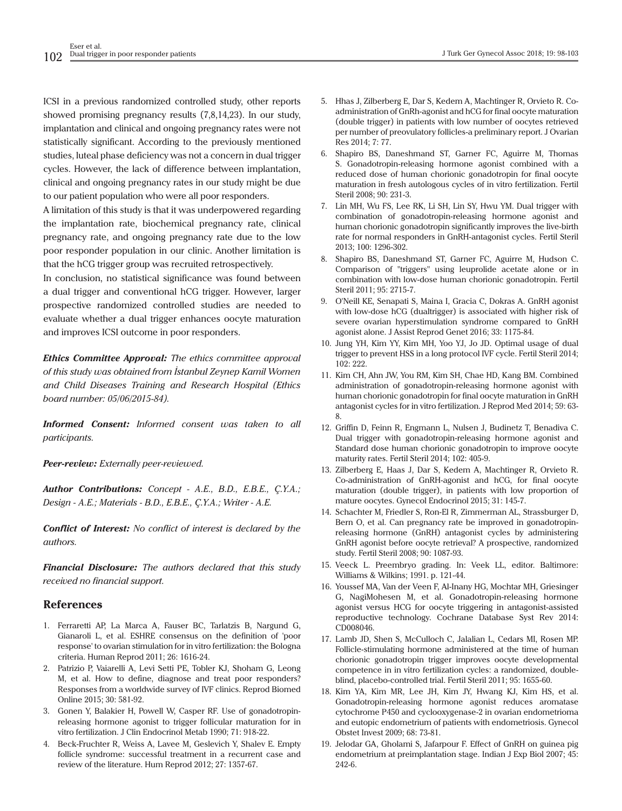ICSI in a previous randomized controlled study, other reports showed promising pregnancy results (7,8,14,23). In our study, implantation and clinical and ongoing pregnancy rates were not statistically significant. According to the previously mentioned studies, luteal phase deficiency was not a concern in dual trigger cycles. However, the lack of difference between implantation, clinical and ongoing pregnancy rates in our study might be due to our patient population who were all poor responders.

A limitation of this study is that it was underpowered regarding the implantation rate, biochemical pregnancy rate, clinical pregnancy rate, and ongoing pregnancy rate due to the low poor responder population in our clinic. Another limitation is that the hCG trigger group was recruited retrospectively.

In conclusion, no statistical significance was found between a dual trigger and conventional hCG trigger. However, larger prospective randomized controlled studies are needed to evaluate whether a dual trigger enhances oocyte maturation and improves ICSI outcome in poor responders.

*Ethics Committee Approval: The ethics committee approval of this study was obtained from İstanbul Zeynep Kamil Women and Child Diseases Training and Research Hospital (Ethics board number: 05/06/2015-84).*

*Informed Consent: Informed consent was taken to all participants.*

*Peer-review: Externally peer-reviewed.*

*Author Contributions: Concept - A.E., B.D., E.B.E., Ç.Y.A.; Design - A.E.; Materials - B.D., E.B.E., Ç.Y.A.; Writer - A.E.*

*Conflict of Interest: No conflict of interest is declared by the authors.*

*Financial Disclosure: The authors declared that this study received no financial support.*

#### **References**

- 1. Ferraretti AP, La Marca A, Fauser BC, Tarlatzis B, Nargund G, Gianaroli L, et al. ESHRE consensus on the definition of 'poor response' to ovarian stimulation for in vitro fertilization: the Bologna criteria. Human Reprod 2011; 26: 1616-24.
- 2. Patrizio P, Vaiarelli A, Levi Setti PE, Tobler KJ, Shoham G, Leong M, et al. How to define, diagnose and treat poor responders? Responses from a worldwide survey of IVF clinics. Reprod Biomed Online 2015; 30: 581-92.
- 3. Gonen Y, Balakier H, Powell W, Casper RF. Use of gonadotropinreleasing hormone agonist to trigger follicular maturation for in vitro fertilization. J Clin Endocrinol Metab 1990; 71: 918-22.
- 4. Beck-Fruchter R, Weiss A, Lavee M, Geslevich Y, Shalev E. Empty follicle syndrome: successful treatment in a recurrent case and review of the literature. Hum Reprod 2012; 27: 1357-67.
- 5. Hhas J, Zilberberg E, Dar S, Kedem A, Machtinger R, Orvieto R. Coadministration of GnRh-agonist and hCG for final oocyte maturation (double trigger) in patients with low number of oocytes retrieved per number of preovulatory follicles-a preliminary report. J Ovarian Res 2014; 7: 77.
- 6. Shapiro BS, Daneshmand ST, Garner FC, Aguirre M, Thomas S. Gonadotropin-releasing hormone agonist combined with a reduced dose of human chorionic gonadotropin for final oocyte maturation in fresh autologous cycles of in vitro fertilization. Fertil Steril 2008; 90: 231-3.
- 7. Lin MH, Wu FS, Lee RK, Li SH, Lin SY, Hwu YM. Dual trigger with combination of gonadotropin-releasing hormone agonist and human chorionic gonadotropin significantly improves the live-birth rate for normal responders in GnRH-antagonist cycles. Fertil Steril 2013; 100: 1296-302.
- 8. Shapiro BS, Daneshmand ST, Garner FC, Aguirre M, Hudson C. Comparison of ''triggers'' using leuprolide acetate alone or in combination with low-dose human chorionic gonadotropin. Fertil Steril 2011; 95: 2715-7.
- 9. O'Neill KE, Senapati S, Maina I, Gracia C, Dokras A. GnRH agonist with low-dose hCG (dualtrigger) is associated with higher risk of severe ovarian hyperstimulation syndrome compared to GnRH agonist alone. J Assist Reprod Genet 2016; 33: 1175-84.
- 10. Jung YH, Kim YY, Kim MH, Yoo YJ, Jo JD. Optimal usage of dual trigger to prevent HSS in a long protocol IVF cycle. Fertil Steril 2014; 102: 222.
- 11. Kim CH, Ahn JW, You RM, Kim SH, Chae HD, Kang BM. Combined administration of gonadotropin-releasing hormone agonist with human chorionic gonadotropin for final oocyte maturation in GnRH antagonist cycles for in vitro fertilization. J Reprod Med 2014; 59: 63- 8.
- 12. Griffin D, Feinn R, Engmann L, Nulsen J, Budinetz T, Benadiva C. Dual trigger with gonadotropin-releasing hormone agonist and Standard dose human chorionic gonadotropin to improve oocyte maturity rates. Fertil Steril 2014; 102: 405-9.
- 13. Zilberberg E, Haas J, Dar S, Kedem A, Machtinger R, Orvieto R. Co-administration of GnRH-agonist and hCG, for final oocyte maturation (double trigger), in patients with low proportion of mature oocytes. Gynecol Endocrinol 2015; 31: 145-7.
- 14. Schachter M, Friedler S, Ron-El R, Zimmerman AL, Strassburger D, Bern O, et al. Can pregnancy rate be improved in gonadotropinreleasing hormone (GnRH) antagonist cycles by administering GnRH agonist before oocyte retrieval? A prospective, randomized study. Fertil Steril 2008; 90: 1087-93.
- 15. Veeck L. Preembryo grading. In: Veek LL, editor. Baltimore: Williams & Wilkins; 1991. p. 121-44.
- 16. Youssef MA, Van der Veen F, Al-Inany HG, Mochtar MH, Griesinger G, NagiMohesen M, et al. Gonadotropin-releasing hormone agonist versus HCG for oocyte triggering in antagonist-assisted reproductive technology. Cochrane Database Syst Rev 2014: CD008046.
- 17. Lamb JD, Shen S, McCulloch C, Jalalian L, Cedars MI, Rosen MP. Follicle-stimulating hormone administered at the time of human chorionic gonadotropin trigger improves oocyte developmental competence in in vitro fertilization cycles: a randomized, doubleblind, placebo-controlled trial. Fertil Steril 2011; 95: 1655-60.
- 18. Kim YA, Kim MR, Lee JH, Kim JY, Hwang KJ, Kim HS, et al. Gonadotropin-releasing hormone agonist reduces aromatase cytochrome P450 and cyclooxygenase-2 in ovarian endometrioma and eutopic endometrium of patients with endometriosis. Gynecol Obstet Invest 2009; 68: 73-81.
- 19. Jelodar GA, Gholami S, Jafarpour F. Effect of GnRH on guinea pig endometrium at preimplantation stage. Indian J Exp Biol 2007; 45: 242-6.